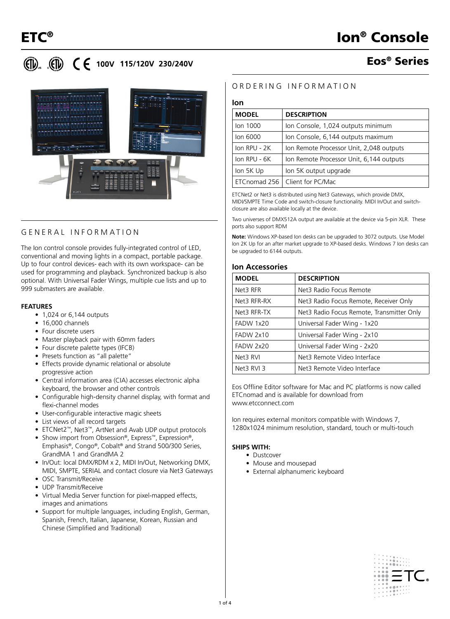# **(ii) (iii) C E** 100V 115/120V 230/240V

# Eos® Series



# GENERAL INFORMATION

The Ion control console provides fully-integrated control of LED, conventional and moving lights in a compact, portable package. Up to four control devices- each with its own workspace- can be used for programming and playback. Synchronized backup is also optional. With Universal Fader Wings, multiple cue lists and up to 999 submasters are available.

#### **FEATURES**

- 1,024 or 6,144 outputs
- 16,000 channels
- Four discrete users
- Master playback pair with 60mm faders
- Four discrete palette types (IFCB)
- Presets function as "all palette"
- Effects provide dynamic relational or absolute progressive action
- Central information area (CIA) accesses electronic alpha keyboard, the browser and other controls
- Configurable high-density channel display, with format and flexi-channel modes
- User-configurable interactive magic sheets
- List views of all record targets
- ETCNet2™, Net3™, ArtNet and Avab UDP output protocols
- Show import from Obsession®, Express™, Expression®, Emphasis®, Congo®, Cobalt® and Strand 500/300 Series, GrandMA 1 and GrandMA 2
- In/Out: local DMX/RDM x 2, MIDI In/Out, Networking DMX, MIDI, SMPTE, SERIAL and contact closure via Net3 Gateways
- OSC Transmit/Receive
- UDP Transmit/Receive
- Virtual Media Server function for pixel-mapped effects, images and animations
- Support for multiple languages, including English, German, Spanish, French, Italian, Japanese, Korean, Russian and Chinese (Simplified and Traditional)

## ORDERING INFORMATION

#### **Ion**

| <b>MODEL</b>     | <b>DESCRIPTION</b>                       |  |  |  |
|------------------|------------------------------------------|--|--|--|
| lon 1000         | Ion Console, 1,024 outputs minimum       |  |  |  |
| lon 6000         | Ion Console, 6,144 outputs maximum       |  |  |  |
| $lon$ $RPU - 2K$ | Ion Remote Processor Unit, 2,048 outputs |  |  |  |
| $lon$ RPU - $6K$ | Ion Remote Processor Unit, 6,144 outputs |  |  |  |
| lon 5K Up        | Ion 5K output upgrade                    |  |  |  |
| ETCnomad 256     | Client for PC/Mac                        |  |  |  |

ETCNet2 or Net3 is distributed using Net3 Gateways, which provide DMX, MIDI/SMPTE Time Code and switch-closure functionality. MIDI In/Out and switchclosure are also available locally at the device.

Two universes of DMX512A output are available at the device via 5-pin XLR. These ports also support RDM

**Note:** Windows XP-based Ion desks can be upgraded to 3072 outputs. Use Model Ion 2K Up for an after market upgrade to XP-based desks. Windows 7 Ion desks can be upgraded to 6144 outputs.

### **Ion Accessories**

| <b>MODEL</b> | <b>DESCRIPTION</b>                        |  |  |  |  |
|--------------|-------------------------------------------|--|--|--|--|
| Net3 RFR     | Net3 Radio Focus Remote                   |  |  |  |  |
| Net3 RFR-RX  | Net3 Radio Focus Remote, Receiver Only    |  |  |  |  |
| Net3 RFR-TX  | Net3 Radio Focus Remote, Transmitter Only |  |  |  |  |
| FADW 1x20    | Universal Fader Wing - 1x20               |  |  |  |  |
| FADW 2x10    | Universal Fader Wing - 2x10               |  |  |  |  |
| FADW 2x20    | Universal Fader Wing - 2x20               |  |  |  |  |
| Net3 RVI     | Net3 Remote Video Interface               |  |  |  |  |
| Net3 RVI 3   | Net3 Remote Video Interface               |  |  |  |  |
|              |                                           |  |  |  |  |

Eos Offline Editor software for Mac and PC platforms is now called ETCnomad and is available for download from www.etcconnect.com

Ion requires external monitors compatible with Windows 7, 1280x1024 minimum resolution, standard, touch or multi-touch

#### **SHIPS WITH:**

- Dustcover
- Mouse and mousepad
- External alphanumeric keyboard

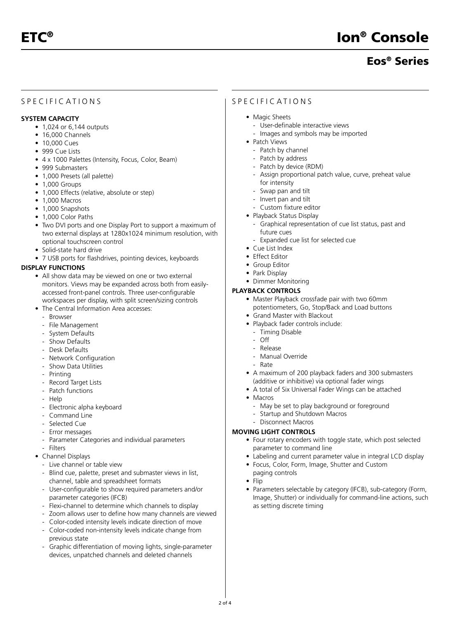# Eos® Series

## SPECIFICATIONS

#### **SYSTEM CAPACITY**

- 1,024 or 6,144 outputs
- 16,000 Channels
- 10,000 Cues
- 999 Cue Lists
- 4 x 1000 Palettes (Intensity, Focus, Color, Beam)
- 999 Submasters
- 1,000 Presets (all palette)
- 1,000 Groups
- 1,000 Effects (relative, absolute or step)
- 1,000 Macros
- 1,000 Snapshots
- 1,000 Color Paths
- Two DVI ports and one Display Port to support a maximum of two external displays at 1280x1024 minimum resolution, with optional touchscreen control
- Solid-state hard drive
- 7 USB ports for flashdrives, pointing devices, keyboards

#### **DISPLAY FUNCTIONS**

- All show data may be viewed on one or two external monitors. Views may be expanded across both from easilyaccessed front-panel controls. Three user-configurable workspaces per display, with split screen/sizing controls
- The Central Information Area accesses:
	- Browser
	- File Management
	- System Defaults
	- Show Defaults
	- Desk Defaults
	- Network Configuration
	- Show Data Utilities
	- Printing
	- Record Target Lists
	- Patch functions
	- Help
	- Electronic alpha keyboard
	- Command Line
	- Selected Cue
	- Error messages
	- Parameter Categories and individual parameters
	- Filters
- Channel Displays
	- Live channel or table view
	- Blind cue, palette, preset and submaster views in list, channel, table and spreadsheet formats
	- User-configurable to show required parameters and/or parameter categories (IFCB)
	- Flexi-channel to determine which channels to display
	- Zoom allows user to define how many channels are viewed
	- Color-coded intensity levels indicate direction of move
	- Color-coded non-intensity levels indicate change from previous state
	- Graphic differentiation of moving lights, single-parameter devices, unpatched channels and deleted channels

### SPECIFICATIONS

- Magic Sheets
	- User-definable interactive views
	- Images and symbols may be imported
- Patch Views
	- Patch by channel
	- Patch by address
	- Patch by device (RDM)
	- Assign proportional patch value, curve, preheat value for intensity
	- Swap pan and tilt
	- Invert pan and tilt
	- Custom fixture editor
- Playback Status Display
	- Graphical representation of cue list status, past and future cues
	- Expanded cue list for selected cue
- Cue List Index
- Effect Editor
- Group Editor
- Park Display
- Dimmer Monitoring

#### **PLAYBACK CONTROLS**

- Master Playback crossfade pair with two 60mm potentiometers, Go, Stop/Back and Load buttons
- Grand Master with Blackout
- Playback fader controls include:
	- Timing Disable
	- Off
	- Release
	- Manual Override
	- Rate
- A maximum of 200 playback faders and 300 submasters (additive or inhibitive) via optional fader wings
- A total of Six Universal Fader Wings can be attached
- Macros
	- May be set to play background or foreground
	- Startup and Shutdown Macros
	- Disconnect Macros

#### **MOVING LIGHT CONTROLS**

- Four rotary encoders with toggle state, which post selected parameter to command line
- Labeling and current parameter value in integral LCD display
- Focus, Color, Form, Image, Shutter and Custom paging controls
- Flip
- Parameters selectable by category (IFCB), sub-category (Form, Image, Shutter) or individually for command-line actions, such as setting discrete timing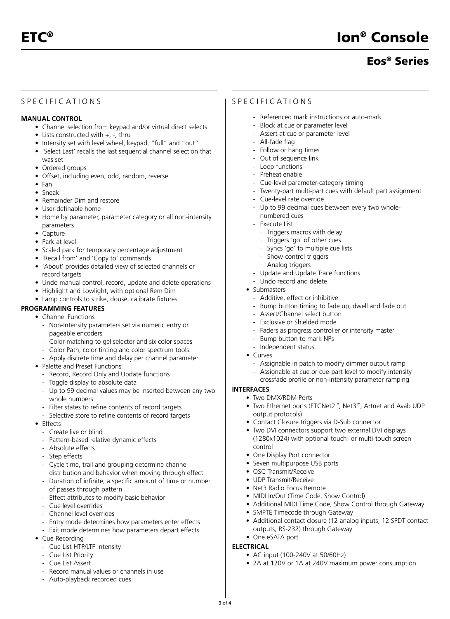# Eos® Series

# SPECIFICATIONS

### **MANUAL CONTROL**

- Channel selection from keypad and/or virtual direct selects
- Lists constructed with +, -, thru
- Intensity set with level wheel, keypad, "full" and "out"
- 'Select Last' recalls the last sequential channel selection that was set
- Ordered groups
- Offset, including even, odd, random, reverse
- Fan
- Sneak
- Remainder Dim and restore
- User-definable home
- Home by parameter, parameter category or all non-intensity parameters
- Capture
- Park at level
- Scaled park for temporary percentage adjustment
- 'Recall from' and 'Copy to' commands
- 'About' provides detailed view of selected channels or record targets
- Undo manual control, record, update and delete operations
- Highlight and Lowlight, with optional Rem Dim
- Lamp controls to strike, douse, calibrate fixtures

## **PROGRAMMING FEATURES**

#### • Channel Functions

- Non-Intensity parameters set via numeric entry or pageable encoders
- Color-matching to gel selector and six color spaces
- Color Path, color tinting and color spectrum tools.
- Apply discrete time and delay per channel parameter
- Palette and Preset Functions
	- Record, Record Only and Update functions
- Toggle display to absolute data
- Up to 99 decimal values may be inserted between any two whole numbers
- Filter states to refine contents of record targets
- Selective store to refine contents of record targets
- Effects
	- Create live or blind
	- Pattern-based relative dynamic effects
	- Absolute effects
	- Step effects
	- Cycle time, trail and grouping determine channel distribution and behavior when moving through effect
	- Duration of infinite, a specific amount of time or number of passes through pattern
	- Effect attributes to modify basic behavior
	- Cue level overrides
	- Channel level overrides
	- Entry mode determines how parameters enter effects
	- Exit mode determines how parameters depart effects
- Cue Recording
	- Cue List HTP/LTP Intensity
	- Cue List Priority
	- Cue List Assert
	- Record manual values or channels in use
	- Auto-playback recorded cues

### SPECIFICATIONS

- Referenced mark instructions or auto-mark
- Block at cue or parameter level
- Assert at cue or parameter level
- All-fade flag
- Follow or hang times
- Out of sequence link
- Loop functions
- Preheat enable
- Cue-level parameter-category timing
- Twenty-part multi-part cues with default part assignment
- Cue-level rate override
- Up to 99 decimal cues between every two wholenumbered cues
- Execute List
	- · Triggers macros with delay
	- · Triggers 'go' of other cues
	- · Syncs 'go' to multiple cue lists
	- · Show-control triggers
	- · Analog triggers
- Update and Update Trace functions
- Undo record and delete
- Submasters
	- Additive, effect or inhibitive
- Bump button timing to fade up, dwell and fade out
- Assert/Channel select button
- Exclusive or Shielded mode
- Faders as progress controller or intensity master
- Bump button to mark NPs
- Independent status
- Curves
	- Assignable in patch to modify dimmer output ramp
	- Assignable at cue or cue-part level to modify intensity crossfade profile or non-intensity parameter ramping

#### **INTERFACES**

**ELECTRICAL**

3 of 4

- Two DMX/RDM Ports
- Two Ethernet ports (ETCNet2™, Net3™, Artnet and Avab UDP output protocols)
- Contact Closure triggers via D-Sub connector
- Two DVI connectors support two external DVI displays (1280x1024) with optional touch- or multi-touch screen control
- One Display Port connector
- Seven multipurpose USB ports
- OSC Transmit/Receive
- UDP Transmit/Receive
- Net3 Radio Focus Remote
- MIDI In/Out (Time Code, Show Control)
- Additional MIDI Time Code, Show Control through Gateway
- SMPTE Timecode through Gateway

• AC input (100-240V at 50/60Hz)

• Additional contact closure (12 analog inputs, 12 SPDT contact outputs, RS-232) through Gateway • One eSATA port

• 2A at 120V or 1A at 240V maximum power consumption